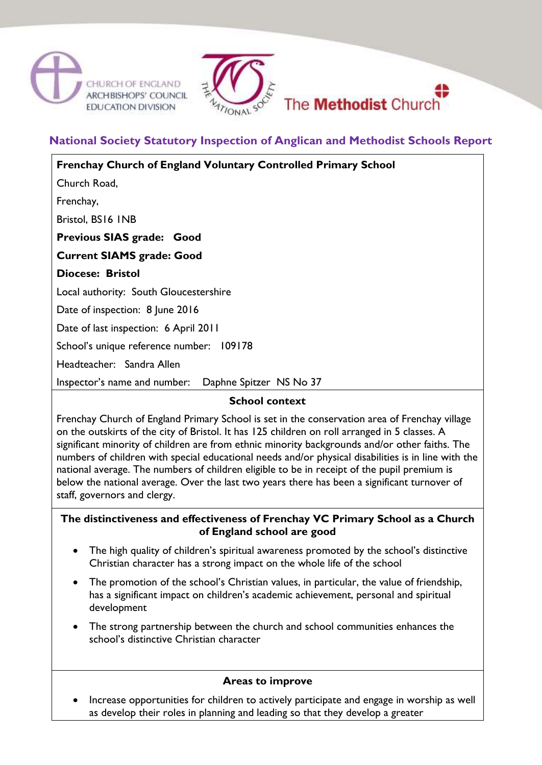



# **National Society Statutory Inspection of Anglican and Methodist Schools Report**

| <b>Frenchay Church of England Voluntary Controlled Primary School</b> |
|-----------------------------------------------------------------------|
| Church Road,                                                          |
| Frenchay,                                                             |
| Bristol, BS16 INB                                                     |
| Previous SIAS grade: Good                                             |
| <b>Current SIAMS grade: Good</b>                                      |
| <b>Diocese: Bristol</b>                                               |
| Local authority: South Gloucestershire                                |
| Date of inspection: 8 June 2016                                       |
| Date of last inspection: 6 April 2011                                 |
| School's unique reference number: 109178                              |
| Headteacher: Sandra Allen                                             |
| Daphne Spitzer NS No 37<br>Inspector's name and number:               |
| <b>School context</b>                                                 |

Frenchay Church of England Primary School is set in the conservation area of Frenchay village on the outskirts of the city of Bristol. It has 125 children on roll arranged in 5 classes. A significant minority of children are from ethnic minority backgrounds and/or other faiths. The numbers of children with special educational needs and/or physical disabilities is in line with the national average. The numbers of children eligible to be in receipt of the pupil premium is below the national average. Over the last two years there has been a significant turnover of staff, governors and clergy.

#### **The distinctiveness and effectiveness of Frenchay VC Primary School as a Church of England school are good**

- The high quality of children's spiritual awareness promoted by the school's distinctive Christian character has a strong impact on the whole life of the school
- The promotion of the school's Christian values, in particular, the value of friendship, has a significant impact on children's academic achievement, personal and spiritual development
- The strong partnership between the church and school communities enhances the school's distinctive Christian character

#### **Areas to improve**

 Increase opportunities for children to actively participate and engage in worship as well as develop their roles in planning and leading so that they develop a greater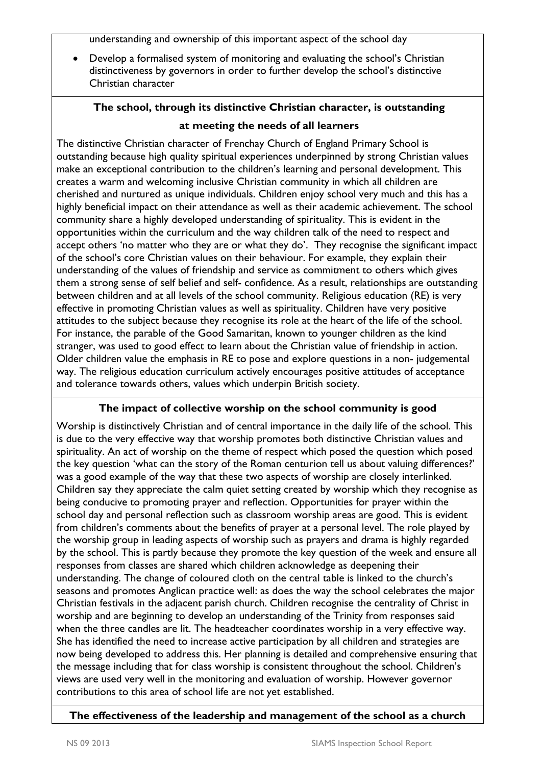understanding and ownership of this important aspect of the school day

 Develop a formalised system of monitoring and evaluating the school's Christian distinctiveness by governors in order to further develop the school's distinctive Christian character

# **The school, through its distinctive Christian character, is outstanding**

# **at meeting the needs of all learners**

The distinctive Christian character of Frenchay Church of England Primary School is outstanding because high quality spiritual experiences underpinned by strong Christian values make an exceptional contribution to the children's learning and personal development. This creates a warm and welcoming inclusive Christian community in which all children are cherished and nurtured as unique individuals. Children enjoy school very much and this has a highly beneficial impact on their attendance as well as their academic achievement. The school community share a highly developed understanding of spirituality. This is evident in the opportunities within the curriculum and the way children talk of the need to respect and accept others 'no matter who they are or what they do'. They recognise the significant impact of the school's core Christian values on their behaviour. For example, they explain their understanding of the values of friendship and service as commitment to others which gives them a strong sense of self belief and self- confidence. As a result, relationships are outstanding between children and at all levels of the school community. Religious education (RE) is very effective in promoting Christian values as well as spirituality. Children have very positive attitudes to the subject because they recognise its role at the heart of the life of the school. For instance, the parable of the Good Samaritan, known to younger children as the kind stranger, was used to good effect to learn about the Christian value of friendship in action. Older children value the emphasis in RE to pose and explore questions in a non- judgemental way. The religious education curriculum actively encourages positive attitudes of acceptance and tolerance towards others, values which underpin British society.

### **The impact of collective worship on the school community is good**

Worship is distinctively Christian and of central importance in the daily life of the school. This is due to the very effective way that worship promotes both distinctive Christian values and spirituality. An act of worship on the theme of respect which posed the question which posed the key question 'what can the story of the Roman centurion tell us about valuing differences?' was a good example of the way that these two aspects of worship are closely interlinked. Children say they appreciate the calm quiet setting created by worship which they recognise as being conducive to promoting prayer and reflection. Opportunities for prayer within the school day and personal reflection such as classroom worship areas are good. This is evident from children's comments about the benefits of prayer at a personal level. The role played by the worship group in leading aspects of worship such as prayers and drama is highly regarded by the school. This is partly because they promote the key question of the week and ensure all responses from classes are shared which children acknowledge as deepening their understanding. The change of coloured cloth on the central table is linked to the church's seasons and promotes Anglican practice well: as does the way the school celebrates the major Christian festivals in the adjacent parish church. Children recognise the centrality of Christ in worship and are beginning to develop an understanding of the Trinity from responses said when the three candles are lit. The headteacher coordinates worship in a very effective way. She has identified the need to increase active participation by all children and strategies are now being developed to address this. Her planning is detailed and comprehensive ensuring that the message including that for class worship is consistent throughout the school. Children's views are used very well in the monitoring and evaluation of worship. However governor contributions to this area of school life are not yet established.

### **The effectiveness of the leadership and management of the school as a church**